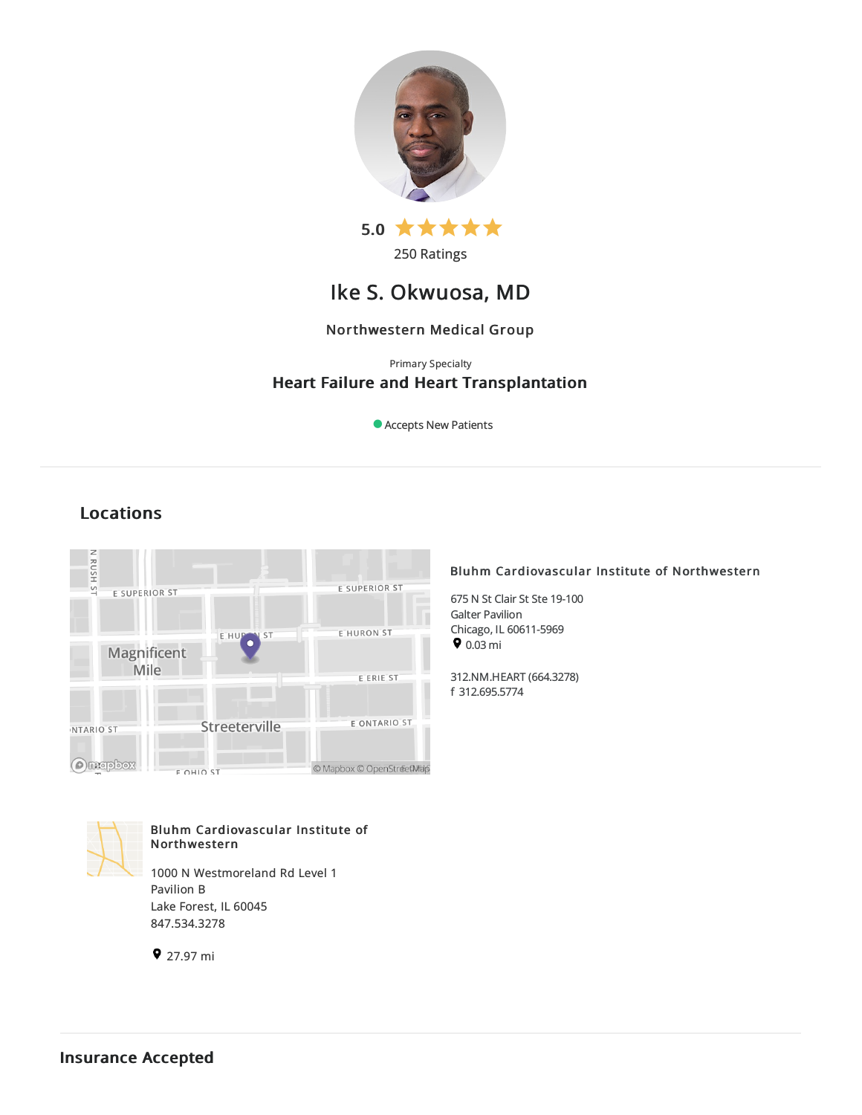

250 Ratings

# Ike S. Okwuosa, MD

## Northwestern Medical Group

## Primary Specialty Heart Failure and Heart Transplantation

Accepts New Patients

## Locations



## Bluhm Cardiovascular Institute of Northwestern

675 N St Clair St Ste 19-100 Galter Pavilion Chicago, IL 60611-5969  $\bullet$  0.03 mi

312.NM.HEART(664.3278) f 312.695.5774



## Bluhm Cardiovascular Institute of Northwestern

1000 N Westmoreland Rd Level 1 Pavilion B Lake Forest, IL 60045 847.534.3278

9 27.97 mi

Insurance Accepted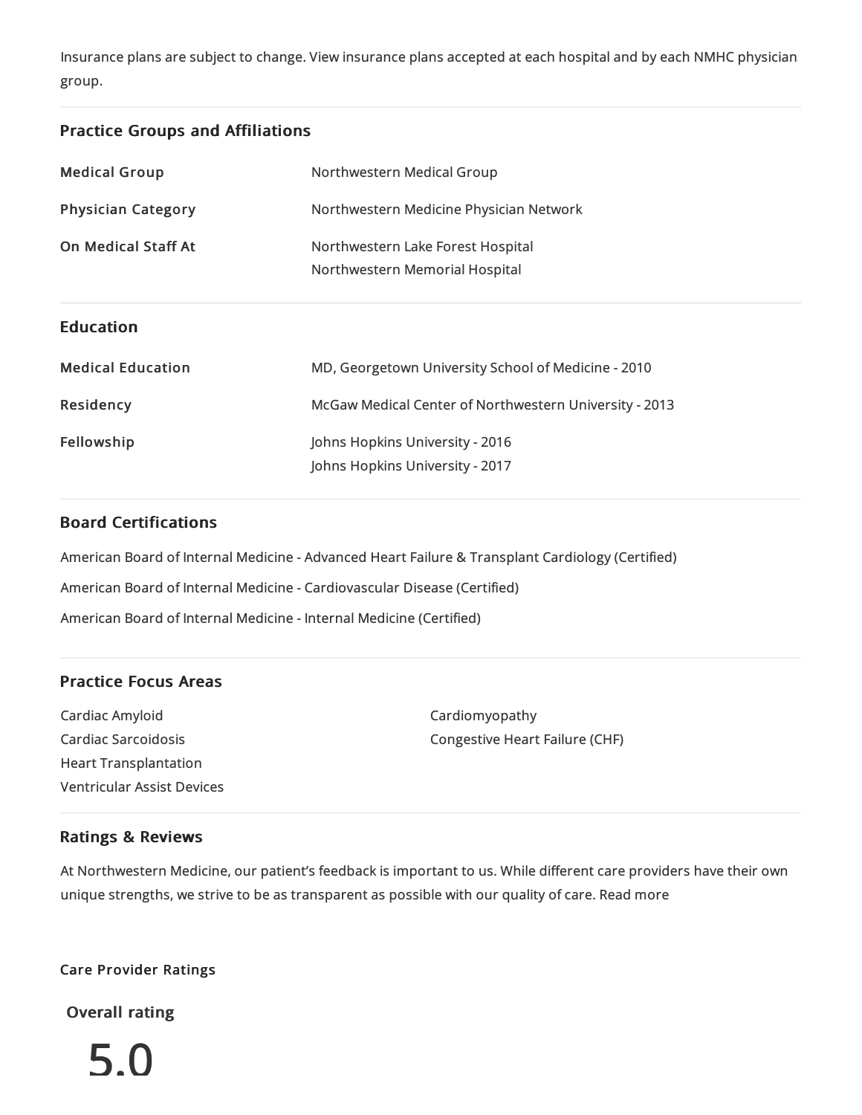Insurance plans are subject to change. View [insurance](https://www.nm.org/patients-and-visitors/billing-and-insurance/insurance-information/accepted-insurance-plans) plans accepted at each hospital and by each NMHC physician group.

## Practice Groups and Affiliations

| <b>Medical Group</b>      | Northwestern Medical Group                                          |
|---------------------------|---------------------------------------------------------------------|
| <b>Physician Category</b> | Northwestern Medicine Physician Network                             |
| On Medical Staff At       | Northwestern Lake Forest Hospital<br>Northwestern Memorial Hospital |
| <b>Education</b>          |                                                                     |
| <b>Medical Education</b>  | MD, Georgetown University School of Medicine - 2010                 |
| Residency                 | McGaw Medical Center of Northwestern University - 2013              |
| Fellowship                | Johns Hopkins University - 2016<br>Johns Hopkins University - 2017  |

## Board Certifications

American Board of Internal Medicine- Advanced Heart Failure & Transplant Cardiology (Certified)

American Board of Internal Medicine- Cardiovascular Disease(Certified)

American Board of Internal Medicine- Internal Medicine(Certified)

## Practice Focus Areas

Cardiac Amyloid Cardiac Sarcoidosis Heart Transplantation Ventricular Assist Devices Cardiomyopathy Congestive Heart Failure(CHF)

## Ratings & Reviews

At Northwestern Medicine, our patient's feedback is important to us. While different care providers have their own unique strengths, we strive to be as transparent as possible with our quality of care. Read more

## Care Provider Ratings

Overall rating

5.0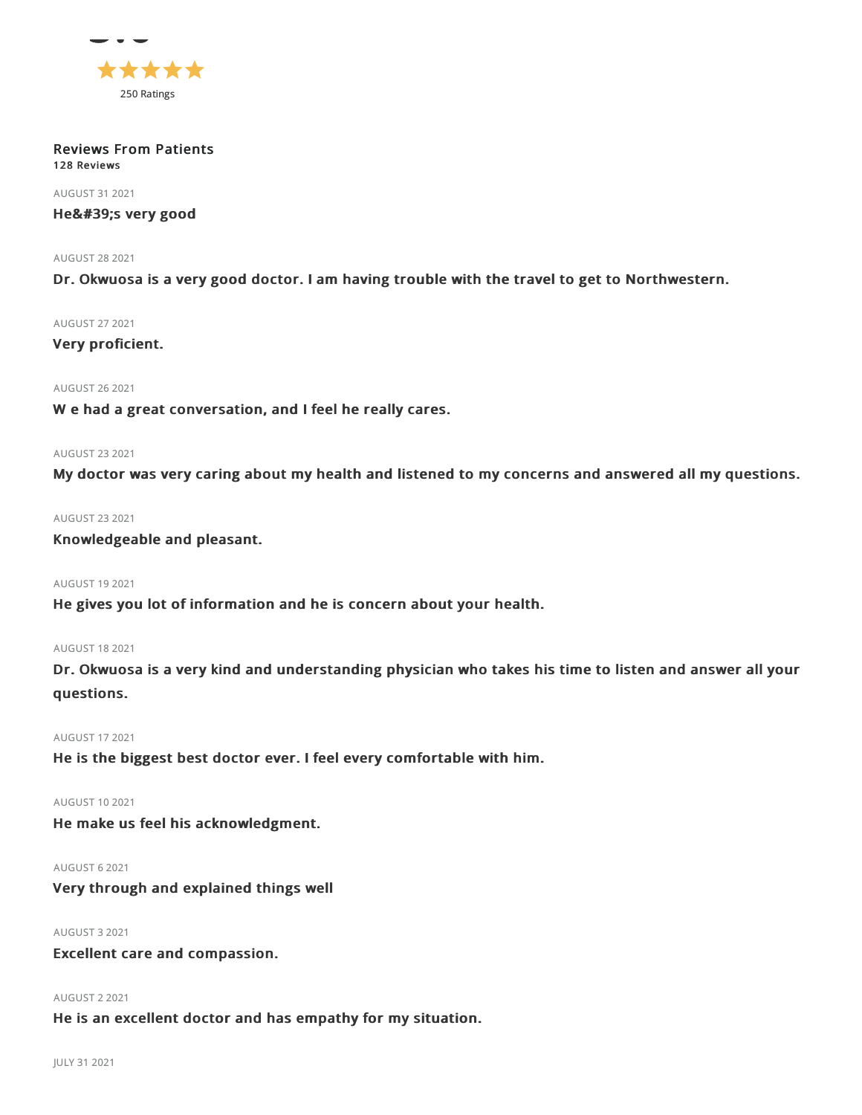

#### Reviews From Patients 128 Reviews

AUGUST 312021

## He's very good

#### AUGUST 282021

Dr. Okwuosa is a very good doctor. I am having trouble with the travel to get to Northwestern.

#### AUGUST 272021

## Very proficient.

## AUGUST 262021

W e had a great conversation, and I feel he really cares.

#### AUGUST 232021

My doctor was very caring about my health and listened to my concerns and answered all my questions.

## AUGUST 232021

## Knowledgeable and pleasant.

## AUGUST 192021

He gives you lot of information and he is concern about your health.

## AUGUST 182021

Dr. Okwuosa is a very kind and understanding physician who takes his time to listen and answer all your questions.

## AUGUST 172021

He is the biggest best doctor ever. I feel every comfortable with him.

#### AUGUST 102021

He make us feel his acknowledgment.

#### AUGUST 62021

## Very through and explained things well

## AUGUST 32021

Excellent care and compassion.

#### AUGUST 22021

He is an excellent doctor and has empathy for my situation.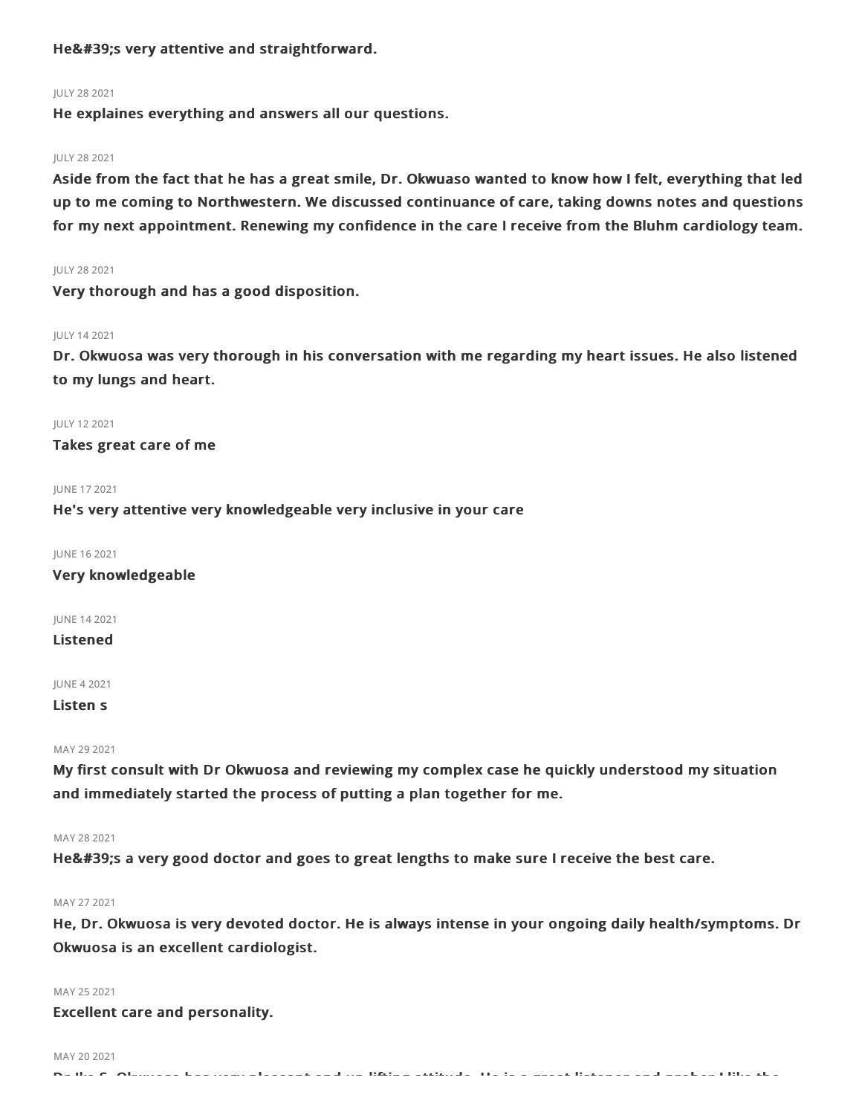## He's very attentive and straightforward.

#### JULY 282021

He explaines everything and answers all our questions.

#### JULY 282021

Aside from the fact that he has a great smile, Dr. Okwuaso wanted to know how I felt, everything that led up to me coming to Northwestern. We discussed continuance of care, taking downs notes and questions for my next appointment. Renewing my confidence in the care I receive from the Bluhm cardiology team.

#### JULY 282021

Very thorough and has a good disposition.

#### JULY 142021

Dr. Okwuosa was very thorough in his conversation with me regarding my heart issues. He also listened to my lungs and heart.

JULY 122021

Takes great care of me

#### JUNE 172021

He's very attentive very knowledgeable very inclusive in your care

JUNE 162021

Very knowledgeable

JUNE 142021

## Listened

JUNE 42021

Listen s

### MAY 29 2021

My first consult with Dr Okwuosa and reviewing my complex case he quickly understood my situation and immediately started the process of putting a plan together for me.

### MAY 282021

He's a very good doctor and goes to great lengths to make sure I receive the best care.

#### MAY 272021

He, Dr. Okwuosa is very devoted doctor. He is always intense in your ongoing daily health/symptoms. Dr Okwuosa is an excellent cardiologist.

#### MAY 25 2021

Excellent care and personality.

#### MAY 20 2021

 $\mathbf{S}$  and  $\mathbf{S}$  . On the issue pleasant and up lifting attitude. He in the issue interesting and prober  $\mathbf{S}$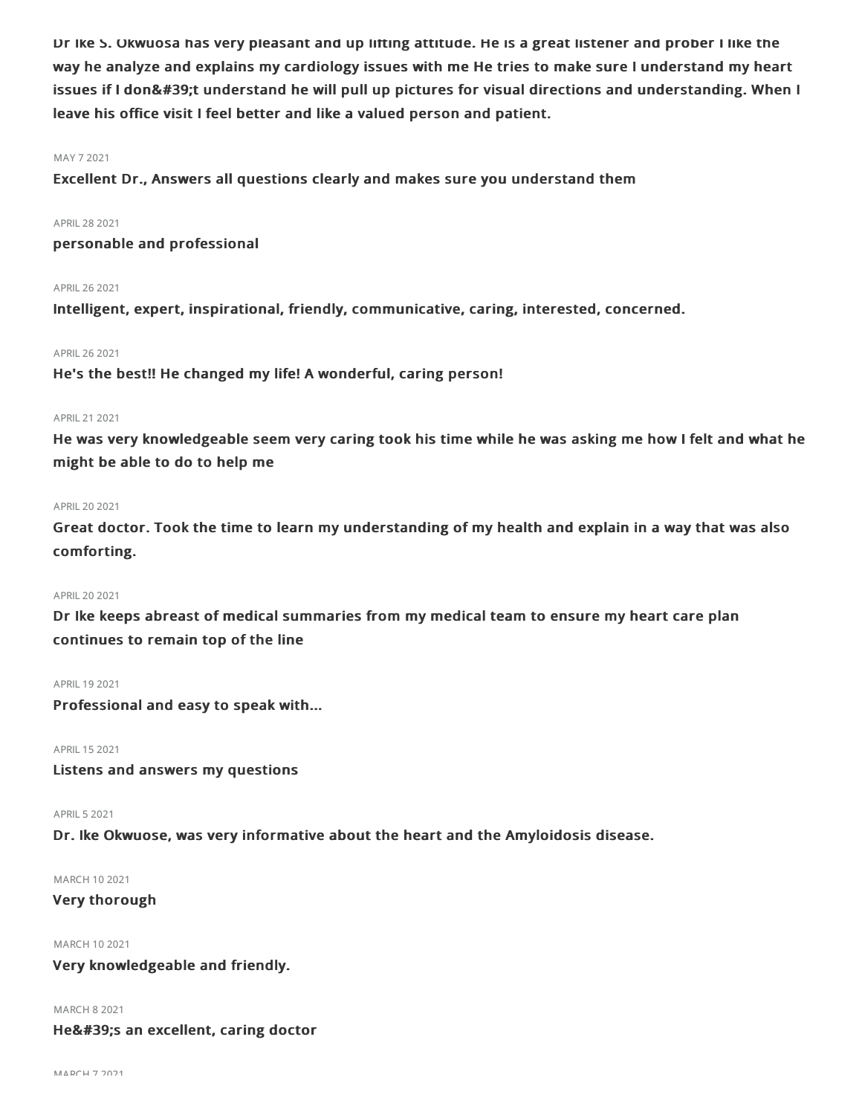Dr Ike S. Okwuosa has very pleasant and up lifting attitude. He is a great listener and prober I like the way he analyze and explains my cardiology issues with me He tries to make sure I understand my heart issues if I don't understand he will pull up pictures for visual directions and understanding. When I leave his office visit I feel better and like a valued person and patient.

#### MAY 72021

Excellent Dr., Answers all questions clearly and makes sure you understand them

#### APRIL282021

personable and professional

## APRIL262021

Intelligent, expert, inspirational, friendly, communicative, caring, interested, concerned.

#### APRIL262021

He's the best!! He changed my life! A wonderful, caring person!

#### APRIL 21 2021

He was very knowledgeable seem very caring took his time while he was asking me how I felt and what he might be able to do to help me

#### APRIL202021

Great doctor. Took the time to learn my understanding of my health and explain in a way that was also comforting.

## APRIL202021

Dr Ike keeps abreast of medical summaries from my medical team to ensure my heart care plan continues to remain top of the line

#### APRIL 19 2021

Professional and easy to speak with...

APRIL 15 2021

Listens and answers my questions

## APRIL 5 2021

Dr. Ike Okwuose, was very informative about the heart and the Amyloidosis disease.

## MARCH 102021

## Very thorough

MARCH 102021

## Very knowledgeable and friendly.

MARCH 82021

He's an excellent, caring doctor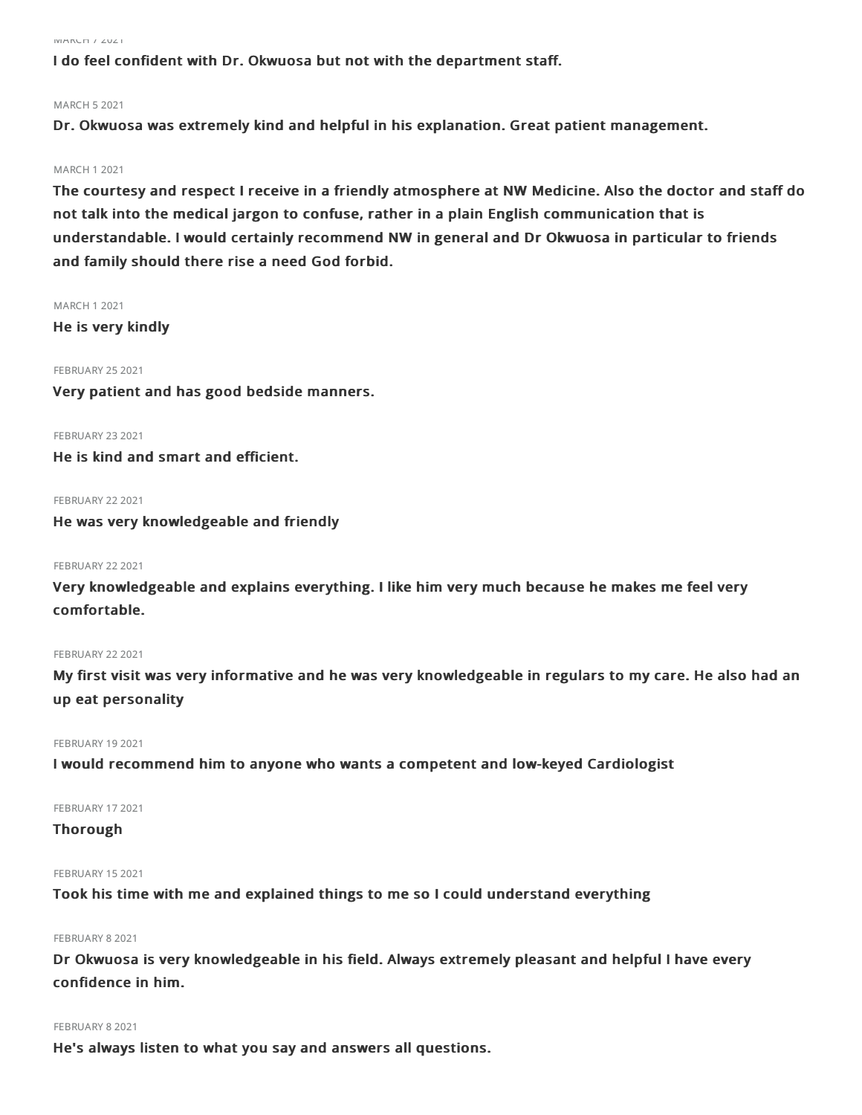MARCH 72021

I do feel confident with Dr. Okwuosa but not with the department staff.

## MARCH 52021

Dr. Okwuosa was extremely kind and helpful in his explanation. Great patient management.

#### MARCH 12021

The courtesy and respect I receive in a friendly atmosphere at NW Medicine. Also the doctor and staff do not talk into the medical jargon to confuse, rather in a plain English communication that is understandable. I would certainly recommend NW in general and Dr Okwuosa in particular to friends and family should there rise a need God forbid.

#### MARCH 12021

He is very kindly

### **FEBRUARY 25 2021**

Very patient and has good bedside manners.

FEBRUARY 23 2021

He is kind and smart and efficient.

**FEBRUARY 22 2021** 

He was very knowledgeable and friendly

#### **FEBRUARY 22 2021**

Very knowledgeable and explains everything. I like him very much because he makes me feel very comfortable.

#### **FEBRUARY 22 2021**

My first visit was very informative and he was very knowledgeable in regulars to my care. He also had an up eat personality

#### FEBRUARY 19 2021

I would recommend him to anyone who wants a competent and low-keyed Cardiologist

#### FEBRUARY 17 2021

Thorough

#### FEBRUARY 15 2021

Took his time with me and explained things to me so I could understand everything

#### FEBRUARY 8 2021

Dr Okwuosa is very knowledgeable in his field. Always extremely pleasant and helpful I have every confidence in him.

#### FEBRUARY 82021

He's always listen to what you say and answers all questions.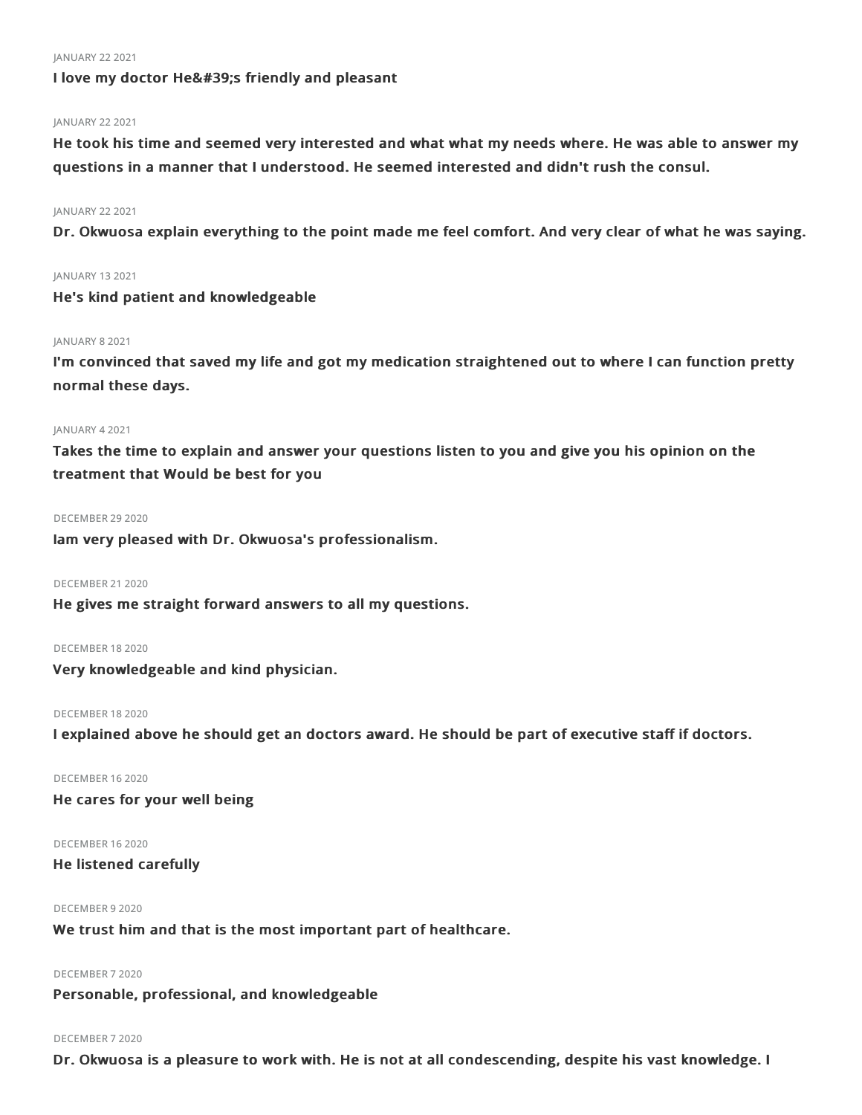#### JANUARY 222021

I love my doctor He's friendly and pleasant

## JANUARY 22 2021

He took his time and seemed very interested and what what my needs where. He was able to answer my questions in a manner that I understood. He seemed interested and didn't rush the consul.

## JANUARY 22 2021

Dr. Okwuosa explain everything to the point made me feel comfort. And very clear of what he was saying.

## JANUARY 132021

He's kind patient and knowledgeable

## JANUARY 8 2021

I'm convinced that saved my life and got my medication straightened out to where I can function pretty normal these days.

#### JANUARY 42021

Takes the time to explain and answer your questions listen to you and give you his opinion on the treatment that Would be best for you

#### DECEMBER 29 2020

Iam very pleased with Dr. Okwuosa's professionalism.

DECEMBER 21 2020

He gives me straight forward answers to all my questions.

## DECEMBER 182020

Very knowledgeable and kind physician.

### DECEMBER 182020

I explained above he should get an doctors award. He should be part of executive staff if doctors.

#### DECEMBER 162020

He cares for your well being

#### DECEMBER 162020

He listened carefully

## DECEMBER 92020

We trust him and that is the most important part of healthcare.

## DECEMBER 72020

Personable, professional, and knowledgeable

#### DECEMBER 72020

Dr. Okwuosa is a pleasure to work with. He is not at all condescending, despite his vast knowledge. I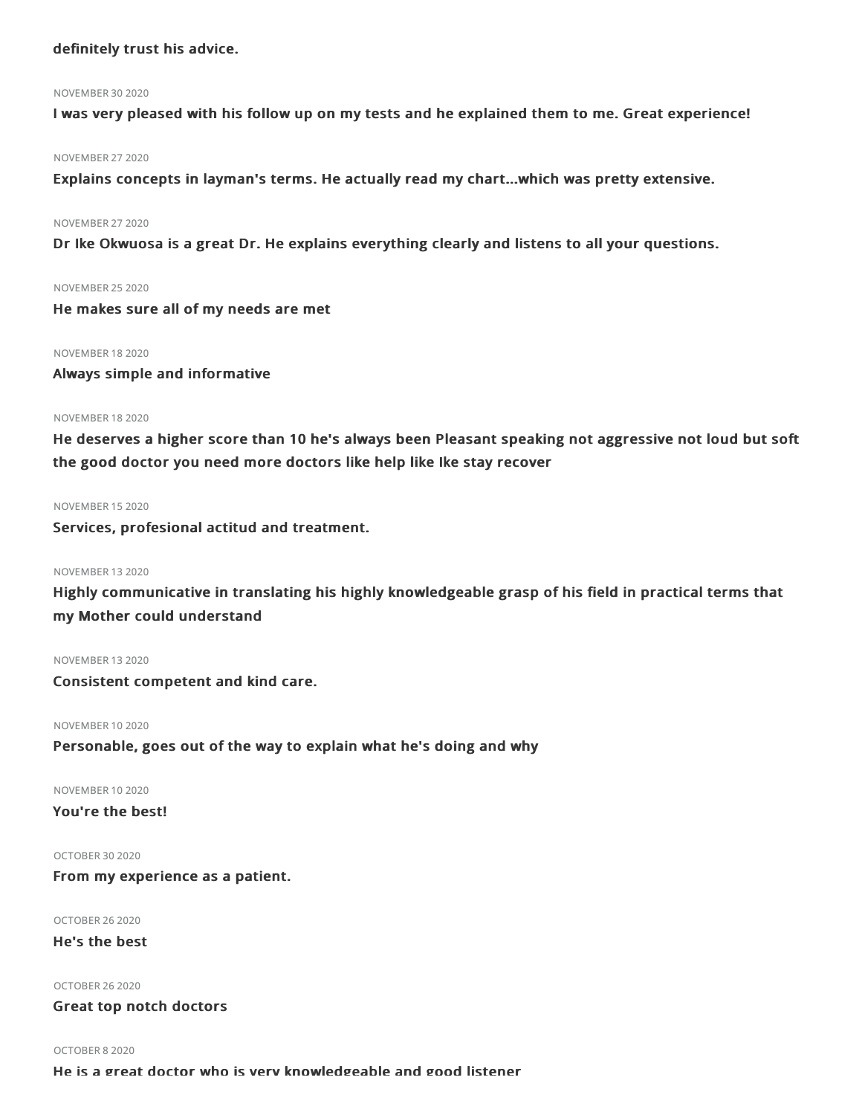## definitely trust his advice.

#### NOVEMBER 302020

I was very pleased with his follow up on my tests and he explained them to me. Great experience!

#### NOVEMBER 272020

Explains concepts in layman's terms. He actually read my chart...which was pretty extensive.

#### NOVEMBER 272020

Dr Ike Okwuosa is a great Dr. He explains everything clearly and listens to all your questions.

NOVEMBER 252020

He makes sure all of my needs are met

#### NOVEMBER 182020

Always simple and informative

#### NOVEMBER 182020

He deserves a higher score than 10 he's always been Pleasant speaking not aggressive not loud but soft the good doctor you need more doctors like help like Ike stay recover

#### NOVEMBER 152020

Services, profesional actitud and treatment.

### NOVEMBER 132020

Highly communicative in translating his highly knowledgeable grasp of his field in practical terms that my Mother could understand

### NOVEMBER 132020

Consistent competent and kind care.

#### NOVEMBER 102020

Personable, goes out of the way to explain what he's doing and why

NOVEMBER 102020

You're the best!

OCTOBER 302020

From my experience as a patient.

OCTOBER 262020

He's the best

OCTOBER 262020

Great top notch doctors

OCTOBER 82020 He is a great doctor who is very knowledgeable and good listener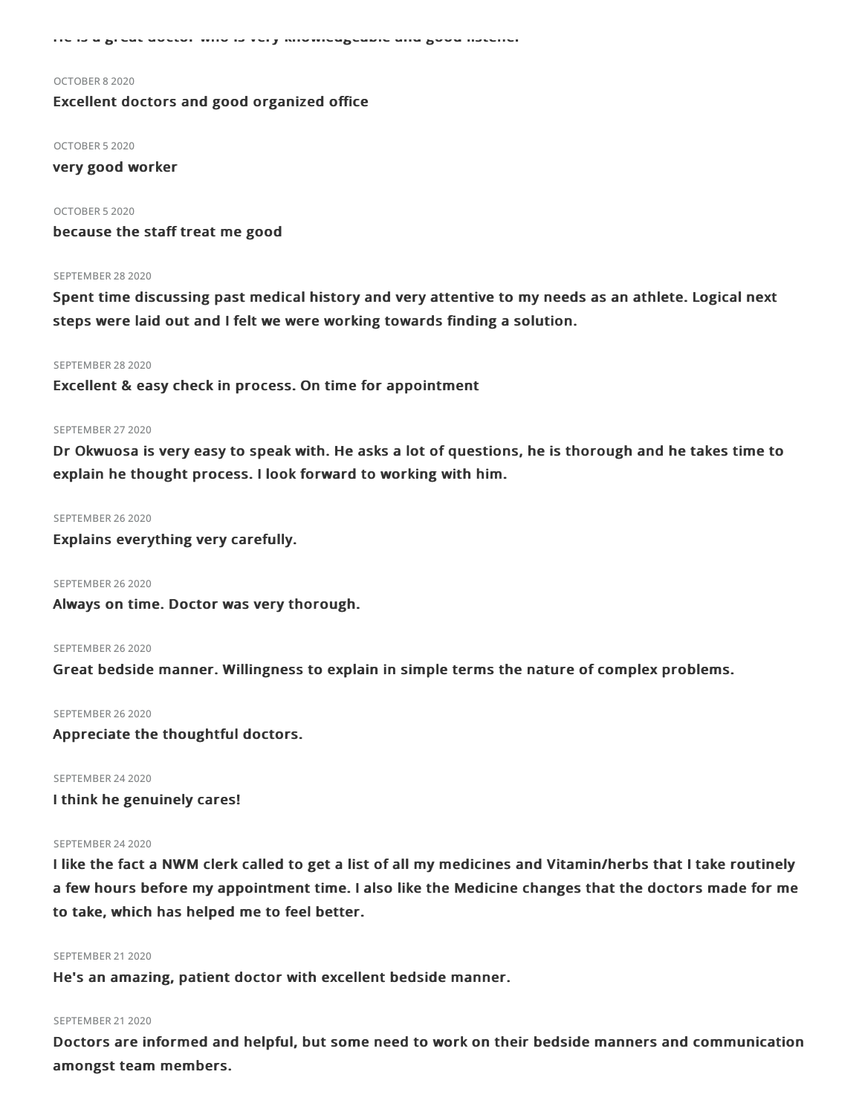He is a great doctor who is very knowledgeable and good listener

#### OCTOBER 82020

## Excellent doctors and good organized office

OCTOBER 52020

very good worker

OCTOBER 52020 because the staff treat me good

#### SEPTEMBER 28 2020

Spent time discussing past medical history and very attentive to my needs as an athlete. Logical next steps were laid out and I felt we were working towards finding a solution.

#### SEPTEMBER 28 2020

Excellent & easy check in process. On time for appointment

#### SEPTEMBER 27 2020

Dr Okwuosa is very easy to speak with. He asks a lot of questions, he is thorough and he takes time to explain he thought process. I look forward to working with him.

#### SEPTEMBER 26 2020

Explains everything very carefully.

SEPTEMBER 26 2020

Always on time. Doctor was very thorough.

#### SEPTEMBER 26 2020

Great bedside manner. Willingness to explain in simple terms the nature of complex problems.

#### SEPTEMBER 26 2020

Appreciate the thoughtful doctors.

#### SEPTEMBER 24 2020

I think he genuinely cares!

#### SEPTEMBER 24 2020

I like the fact a NWM clerk called to get a list of all my medicines and Vitamin/herbs that I take routinely a few hours before my appointment time. I also like the Medicine changes that the doctors made for me to take, which has helped me to feel better.

#### SEPTEMBER 21 2020

He's an amazing, patient doctor with excellent bedside manner.

#### SEPTEMBER 21 2020

Doctors are informed and helpful, but some need to work on their bedside manners and communication amongst team members.